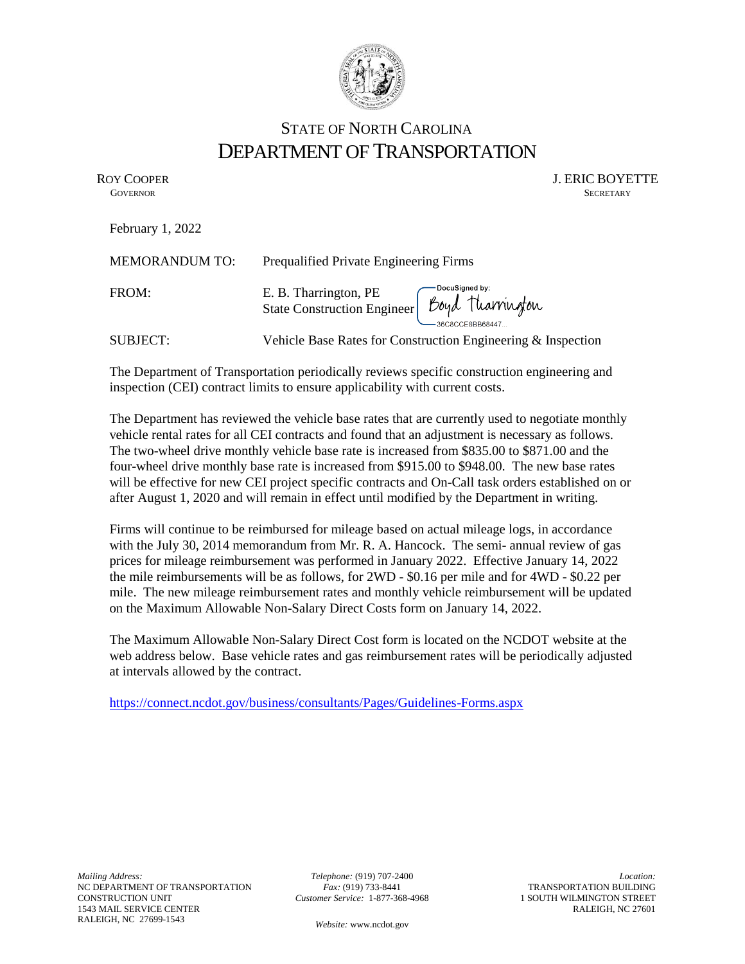

## STATE OF NORTH CAROLINA DEPARTMENT OF TRANSPORTATION

February 1, 2022

ROY COOPER J. ERIC BOYETTE GOVERNOR SECRETARY **GOVERNOR** SECRETARY

| <b>MEMORANDUM TO:</b> | Prequalified Private Engineering Firms                                                           |
|-----------------------|--------------------------------------------------------------------------------------------------|
| FROM:                 | E. B. Tharrington, PE<br>State Construction Engineer <i>Doyd</i> Tharrington<br>36C8CCE8BB68447. |
|                       | $\sim$ $\sim$ $\sim$ $\sim$                                                                      |

SUBJECT: Vehicle Base Rates for Construction Engineering & Inspection

The Department of Transportation periodically reviews specific construction engineering and inspection (CEI) contract limits to ensure applicability with current costs.

The Department has reviewed the vehicle base rates that are currently used to negotiate monthly vehicle rental rates for all CEI contracts and found that an adjustment is necessary as follows. The two-wheel drive monthly vehicle base rate is increased from \$835.00 to \$871.00 and the four-wheel drive monthly base rate is increased from \$915.00 to \$948.00. The new base rates will be effective for new CEI project specific contracts and On-Call task orders established on or after August 1, 2020 and will remain in effect until modified by the Department in writing.

Firms will continue to be reimbursed for mileage based on actual mileage logs, in accordance with the July 30, 2014 memorandum from Mr. R. A. Hancock. The semi- annual review of gas prices for mileage reimbursement was performed in January 2022. Effective January 14, 2022 the mile reimbursements will be as follows, for 2WD - \$0.16 per mile and for 4WD - \$0.22 per mile. The new mileage reimbursement rates and monthly vehicle reimbursement will be updated on the Maximum Allowable Non-Salary Direct Costs form on January 14, 2022.

The Maximum Allowable Non-Salary Direct Cost form is located on the NCDOT website at the web address below. Base vehicle rates and gas reimbursement rates will be periodically adjusted at intervals allowed by the contract.

<https://connect.ncdot.gov/business/consultants/Pages/Guidelines-Forms.aspx>

*Telephone:* (919) 707-2400 *Fax:* (919) 733-8441 *Customer Service:* 1-877-368-4968

*Location:* TRANSPORTATION BUILDING 1 SOUTH WILMINGTON STREET RALEIGH, NC 27601

*Website:* [www.ncdot.gov](http://www.ncdot.gov/)